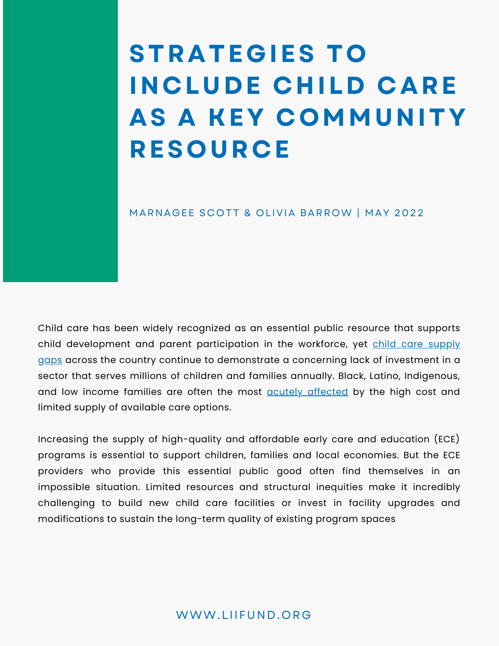# **STRATEGIES TO INCLUDE CHILD CARE AS A KEY COMMUNITY RESOURCE**

#### MARNAGEE SCOTT & OLIVIA BARROW | MAY 2022

Child care has been widely recognized as an essential public resource that supports child [development](https://childcaredeserts.org/2018/#:~:text=In%20the%20United%20States%2C%2051,enough%20licensed%20child%20care%20providers.) and parent participation in the workforce, yet child care supply gaps across the country continue to [demonstrate](https://childcaredeserts.org/2018/#:~:text=In%20the%20United%20States%2C%2051,enough%20licensed%20child%20care%20providers.) a concerning lack of investment in a sector that serves millions of children and families annually. Black, Latino, Indigenous, and low income families are often the most **acutely [affected](https://childcaredeserts.org/2018/#:~:text=In%20the%20United%20States%2C%2051,enough%20licensed%20child%20care%20providers.)** by the high cost and limited supply of [available](https://childcaredeserts.org/2018/#:~:text=In%20the%20United%20States%2C%2051,enough%20licensed%20child%20care%20providers.) care options.

Increasing the supply of high-quality and affordable early care and education (ECE) programs is essential to support children, families and local economies. But the ECE providers who provide this essential public good often find themselves in an impossible situation. Limited resources and structural inequities make it incredibly challenging to build new child care facilities or invest in facility upgrades and [modifications](https://childcaredeserts.org/2018/#:~:text=In%20the%20United%20States%2C%2051,enough%20licensed%20child%20care%20providers.) to sustain the long-term quality of existing program spaces

#### WWW.LIIFUND.ORG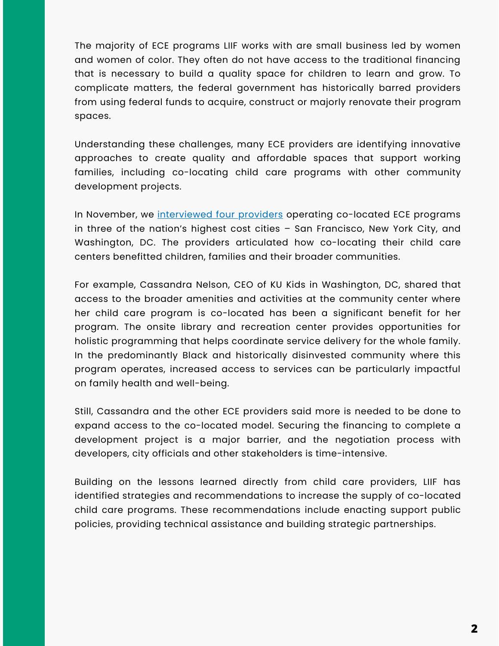The majority of ECE programs LIIF works with are small business led by women and women of color. They often do not have access to the traditional financing that is necessary to build a quality space for children to learn and grow. To complicate matters, the federal government has historically barred providers from using federal funds to acquire, construct or majorly renovate their program spaces.

Understanding these challenges, many ECE providers are identifying innovative approaches to create quality and affordable spaces that support working families, including co-locating child care programs with other community development projects.

In November, we [interviewed](https://www.liifund.org/justgoodcapital/2021/11/03/how-co-location-strategies-support-strong-communities/) four providers operating co-located ECE programs in three of the nation's highest cost cities – San Francisco, New York City, and Washington, DC. The providers articulated how co-locating their child care centers benefitted children, families and their broader communities.

For example, Cassandra Nelson, CEO of KU Kids in Washington, DC, shared that access to the broader amenities and activities at the community center where her child care program is co-located has been a significant benefit for her program. The onsite library and recreation center provides opportunities for holistic programming that helps coordinate service delivery for the whole family. In the predominantly Black and historically disinvested community where this program operates, increased access to services can be particularly impactful on family health and well-being.

Still, Cassandra and the other ECE providers said more is needed to be done to expand access to the co-located model. Securing the financing to complete a development project is a major barrier, and the negotiation process with developers, city officials and other stakeholders is time-intensive.

Building on the lessons learned directly from child care providers, LIIF has identified strategies and recommendations to increase the supply of co-located child care programs. These recommendations include enacting support public policies, providing technical assistance and building strategic partnerships.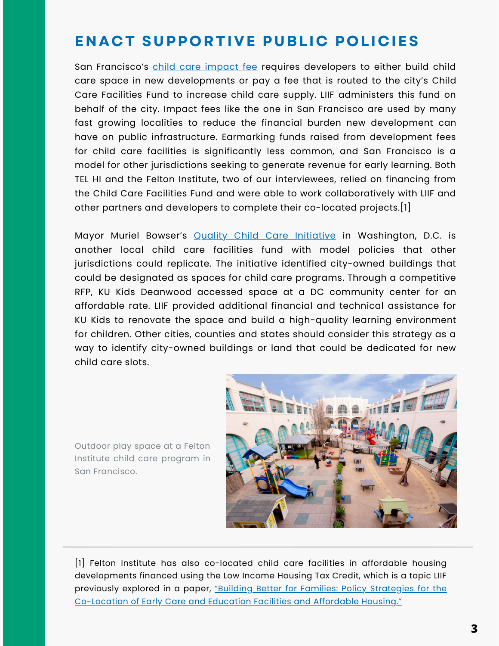## **ENACT SUPPORTIVE PUBLIC POLICIES**

San Francisco's child care [impact](https://sfgov.org/youthcommission/sites/default/files/FileCenter/Documents/53653-DocB%20150793.pdf) fee requires developers to either build child care space in new developments or pay a fee that is routed to the city's Child Care Facilities Fund to increase child care supply. LIIF administers this fund on behalf of the city. Impact fees like the one in San Francisco are used by many fast growing localities to reduce the financial burden new development can have on public infrastructure. Earmarking funds raised from development fees for child care facilities is significantly less common, and San Francisco is a model for other jurisdictions seeking to generate revenue for early learning. Both TEL HI and the Felton Institute, two of our interviewees, relied on financing from the Child Care Facilities Fund and were able to work collaboratively with LIIF and other partners and developers to complete their co-located projects.[1]

Mayor Muriel Bowser's **Quality Child Care [Initiative](https://osse.dc.gov/publication/access-to-quality-a2q)** in Washington, D.C. is another local child care facilities fund with model policies that other jurisdictions could replicate. The initiative identified city-owned buildings that could be designated as spaces for child care programs. Through a competitive RFP, KU Kids Deanwood accessed space at a DC community center for an affordable rate. LIIF provided additional financial and technical assistance for KU Kids to renovate the space and build a high-quality learning environment for children. Other cities, counties and states should consider this strategy as a way to identify city-owned buildings or land that could be dedicated for new child care slots.

Outdoor play space at a Felton Institute child care program in San Francisco.



[1] Felton Institute has also co-located child care facilities in affordable housing developments financed using the Low Income Housing Tax Credit, which is a topic LIIF previously explored in a paper, "Building Better for Families: Policy Strategies for the [Co-Location](https://static1.squarespace.com/static/5e221ab388621f5c0aeb37e5/t/60be1d9c53bf365e4b9e2cf1/1623072163305/Building+Better+for+Families+May+2021_opt.pdf) of Early Care and Education Facilities and Affordable Housing."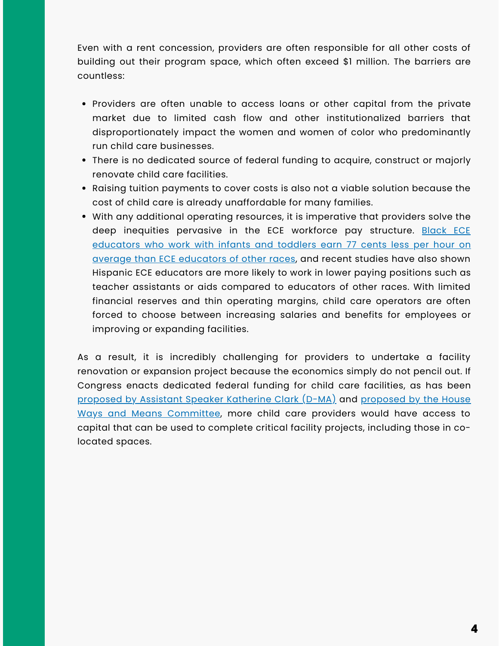Even with a rent concession, providers are often responsible for all other costs of building out their program space, which often exceed \$1 million. The barriers are countless:

- Providers are often unable to access loans or other capital from the private market due to limited cash flow and other institutionalized barriers that disproportionately impact the women and women of color who predominantly run child care businesses.
- There is no dedicated source of federal funding to acquire, construct or majorly renovate child care facilities.
- Raising tuition payments to cover costs is also not a viable solution because the cost of child care is already unaffordable for many families.
- With any additional operating resources, it is imperative that providers solve the deep inequities pervasive in the ECE workforce pay structure. Black ECE educators who work with infants and toddlers earn 77 cents less per hour on average than ECE [educators](https://cscce.berkeley.edu/racial-wage-gaps-in-early-education-employment/) of other races, and recent studies have also shown Hispanic ECE educators are more likely to work in lower paying positions such as teacher assistants or aids compared to educators of other races. With limited financial reserves and thin operating margins, child care operators are often forced to choose between increasing salaries and benefits for employees or improving or expanding facilities.

As a result, it is incredibly challenging for providers to undertake a facility renovation or expansion project because the economics simply do not pencil out. If Congress enacts dedicated federal funding for child care facilities, as has been [proposed](https://www.liifund.org/justgoodcapital/2021/03/16/child-care-is-infrastructure-act/) by Assistant Speaker Katherine Clark (D-MA) and proposed by the House Ways and Means [Committee,](https://static1.squarespace.com/static/5e221ab388621f5c0aeb37e5/t/6140a2f37d5bbd64107f5f34/1631625972564/NCFN+Child+Care+Infrastructure+Letter+%28WM%29+Sept+2021.pdf) more child care providers would have access to capital that can be used to complete critical facility projects, including those in colocated spaces.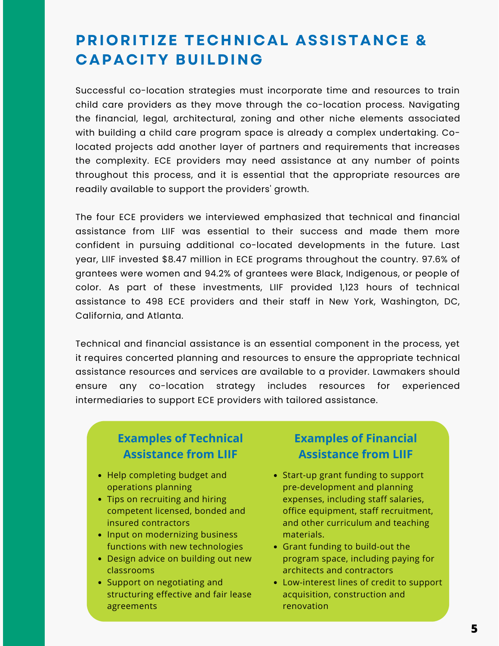## **PRIORITIZE TECHNICAL ASSISTANCE & CAPACITY BUILDING**

Successful co-location strategies must incorporate time and resources to train child care providers as they move through the co-location process. Navigating the financial, legal, architectural, zoning and other niche elements associated with building a child care program space is already a complex undertaking. Colocated projects add another layer of partners and requirements that increases the complexity. ECE providers may need assistance at any number of points throughout this process, and it is essential that the appropriate resources are readily available to support the providers' growth.

The four ECE providers we interviewed emphasized that technical and financial assistance from LIIF was essential to their success and made them more confident in pursuing additional co-located developments in the future. Last year, LIIF invested \$8.47 million in ECE programs throughout the country. 97.6% of grantees were women and 94.2% of grantees were Black, Indigenous, or people of color. As part of these investments, LIIF provided 1,123 hours of technical assistance to 498 ECE providers and their staff in New York, Washington, DC, California, and Atlanta.

Technical and financial assistance is an essential component in the process, yet it requires concerted planning and resources to ensure the appropriate technical assistance resources and services are available to a provider. Lawmakers should ensure any co-location strategy includes resources for experienced intermediaries to support ECE providers with tailored assistance.

#### **Examples of Technical Assistance from LIIF**

- Help completing budget and operations planning
- Tips on recruiting and hiring competent licensed, bonded and insured contractors
- Input on modernizing business functions with new technologies
- Design advice on building out new classrooms
- Support on negotiating and structuring effective and fair lease agreements

#### **Examples of Financial Assistance from LIIF**

- Start-up grant funding to support pre-development and planning expenses, including staff salaries, office equipment, staff recruitment, and other curriculum and teaching materials.
- Grant funding to build-out the program space, including paying for architects and contractors
- Low-interest lines of credit to support acquisition, construction and renovation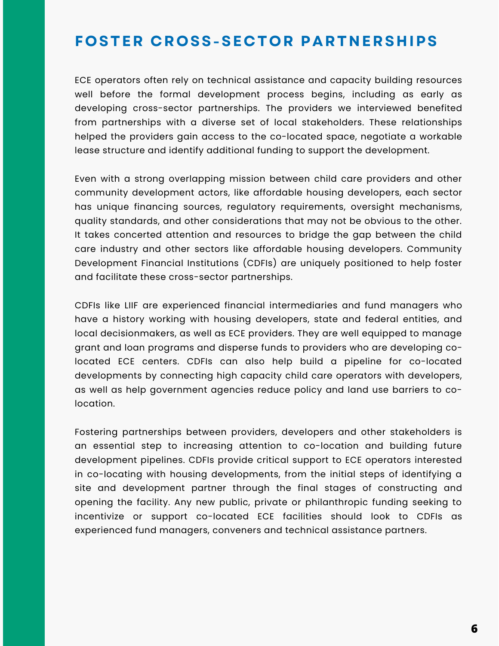#### **FOSTER CROSS-SECTOR PARTNERSHIPS**

ECE operators often rely on technical assistance and capacity building resources well before the formal development process begins, including as early as developing cross-sector partnerships. The providers we interviewed benefited from partnerships with a diverse set of local stakeholders. These relationships helped the providers gain access to the co-located space, negotiate a workable lease structure and identify additional funding to support the development.

Even with a strong overlapping mission between child care providers and other community development actors, like affordable housing developers, each sector has unique financing sources, regulatory requirements, oversight mechanisms, quality standards, and other considerations that may not be obvious to the other. It takes concerted attention and resources to bridge the gap between the child care industry and other sectors like affordable housing developers. Community Development Financial Institutions (CDFIs) are uniquely positioned to help foster and facilitate these cross-sector partnerships.

CDFIs like LIIF are experienced financial intermediaries and fund managers who have a history working with housing developers, state and federal entities, and local decisionmakers, as well as ECE providers. They are well equipped to manage grant and loan programs and disperse funds to providers who are developing colocated ECE centers. CDFIs can also help build a pipeline for co-located developments by connecting high capacity child care operators with developers, as well as help government agencies reduce policy and land use barriers to colocation.

Fostering partnerships between providers, developers and other stakeholders is an essential step to increasing attention to co-location and building future development pipelines. CDFIs provide critical support to ECE operators interested in co-locating with housing developments, from the initial steps of identifying a site and development partner through the final stages of constructing and opening the facility. Any new public, private or philanthropic funding seeking to incentivize or support co-located ECE facilities should look to CDFIs as experienced fund managers, conveners and technical assistance partners.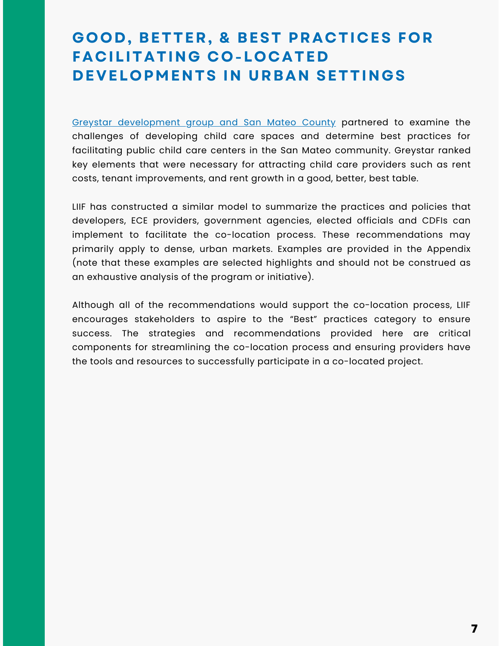# **GOOD, BETTER, & BEST PRACTICES FOR FACILITATING CO-LOCATED DEVELOPMENTS IN URBAN SETTINGS**

Greystar [development](https://drive.google.com/file/d/1vGzGsfNrwfN9zW_0xr5kE9o_T6mdtyn-/view) group and San Mateo County partnered to examine the challenges of developing child care spaces and determine best practices for facilitating public child care centers in the San Mateo community. Greystar ranked key elements that were necessary for attracting child care providers such as rent costs, tenant improvements, and rent growth in a good, better, best table.

LIIF has constructed a similar model to summarize the practices and policies that developers, ECE providers, government agencies, elected officials and CDFIs can implement to facilitate the co-location process. These recommendations may primarily apply to dense, urban markets. Examples are provided in the Appendix (note that these examples are selected highlights and should not be construed as an exhaustive analysis of the program or initiative).

Although all of the recommendations would support the co-location process, LIIF encourages stakeholders to aspire to the "Best" practices category to ensure success. The strategies and recommendations provided here are critical components for streamlining the co-location process and ensuring providers have the tools and resources to successfully participate in a co-located project.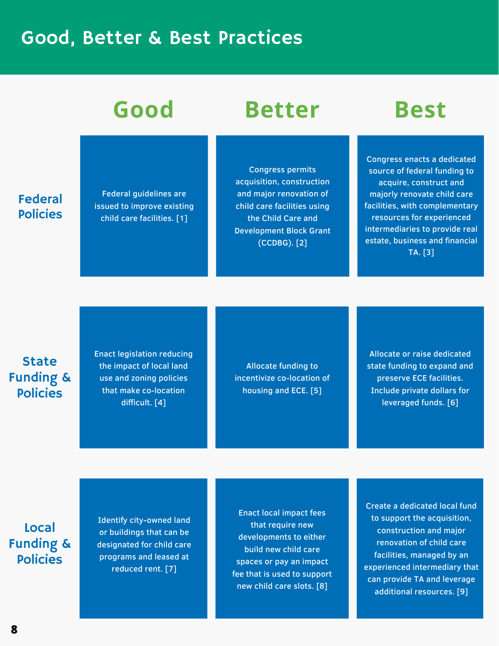# Good, Better & Best Practices

#### Federal Policies

Federal guidelines are issued to improve existing child care facilities. [1]

# **Good Better Best**

Congress permits acquisition, construction and major renovation of child care facilities using the Child Care and Development Block Grant (CCDBG). [2]



Congress enacts a dedicated source of federal funding to acquire, construct and majorly renovate child care facilities, with complementary resources for experienced intermediaries to provide real estate, business and financial TA. [3]

### State Funding & Policies

Enact legislation reducing the impact of local land use and zoning policies that make co-location difficult. [4]

Allocate funding to incentivize co-location of housing and ECE. [5]

Allocate or raise dedicated state funding to expand and preserve ECE facilities. Include private dollars for leveraged funds. [6]

Local Funding & Policies

Identify city-owned land or buildings that can be designated for child care programs and leased at reduced rent. [7]

Enact local impact fees that require new developments to either build new child care spaces or pay an impact fee that is used to support new child care slots. [8]

Create a dedicated local fund to support the acquisition, construction and major renovation of child care facilities, managed by an experienced intermediary that can provide TA and leverage additional resources. [9]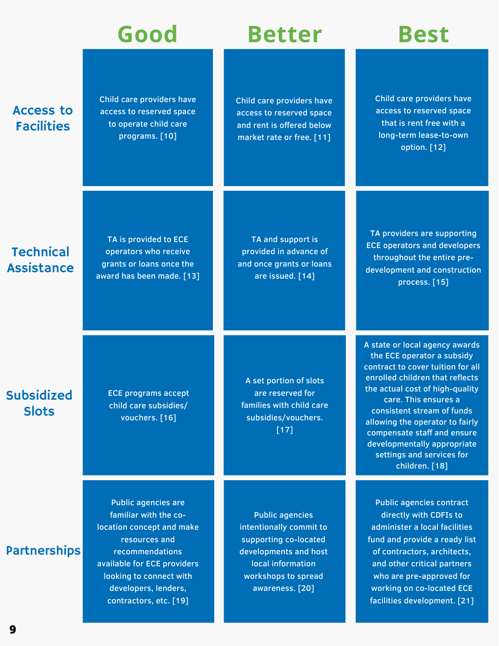Child care providers have access to reserved space to operate child care programs. [10]

# **Good Better Best**

Child care providers have access to reserved space and rent is offered below market rate or free. [11]

Child care providers have access to reserved space that is rent free with a long-term lease-to-own option. [12]

### **Technical Assistance**

Access to **Facilities** 

> TA is provided to ECE operators who receive grants or loans once the award has been made. [13]

TA and support is provided in advance of and once grants or loans are issued. [14]

Public agencies intentionally commit to supporting co-located developments and host local information workshops to spread awareness. [20]

TA providers are supporting ECE operators and developers throughout the entire predevelopment and construction process. [15]

**Subsidized Slots** 

ECE programs accept child care subsidies/ vouchers. [16]

A set portion of slots are reserved for families with child care subsidies/vouchers. [17]

A state or local agency awards the ECE operator a subsidy contract to cover tuition for all enrolled children that reflects the actual cost of high-quality care. This ensures a consistent stream of funds allowing the operator to fairly compensate staff and ensure developmentally appropriate settings and services for children. [18]

Public agencies contract directly with CDFIs to administer a local facilities fund and provide a ready list of contractors, architects, and other critical partners who are pre-approved for working on co-located ECE facilities development. [21]

#### **Partnerships**

familiar with the colocation concept and make resources and recommendations available for ECE providers looking to connect with developers, lenders, contractors, etc. [19]

Public agencies are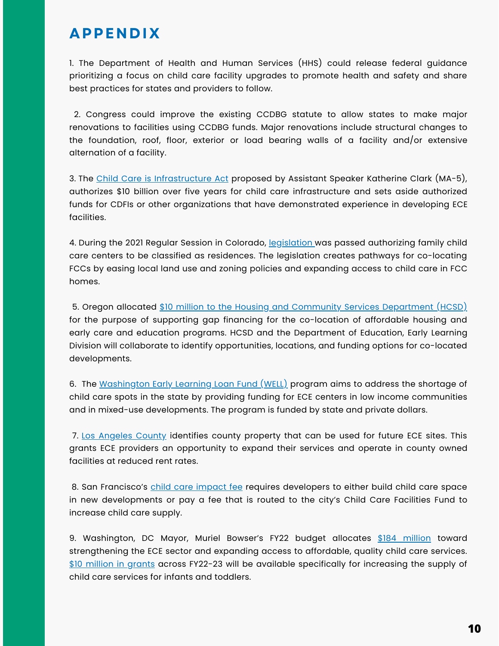### **APPENDIX**

1. The Department of Health and Human Services (HHS) could release federal guidance prioritizing a focus on child care facility upgrades to promote health and safety and share best practices for states and providers to follow.

2. Congress could improve the existing CCDBG statute to allow states to make major renovations to facilities using CCDBG funds. Major renovations include structural changes to the foundation, roof, floor, exterior or load bearing walls of a facility and/or extensive alternation of a facility.

3. The Child Care is [Infrastructure](https://katherineclark.house.gov/press-releases?ID=3898F2BD-0998-4465-B274-305F67259777) Act proposed by Assistant Speaker Katherine Clark (MA-5), authorizes \$10 billion over five years for child care infrastructure and sets aside authorized funds for CDFIs or other organizations that have demonstrated experience in developing ECE facilities.

4. During the 2021 Regular Session in Colorado, [legislation](https://leg.colorado.gov/bills/hb21-1222) was passed authorizing family child care centers to be classified as residences. The legislation creates pathways for co-locating FCCs by easing local land use and zoning policies and expanding access to child care in FCC homes.

5. Oregon allocated \$10 million to the Housing and Community Services [Department](https://olis.oregonlegislature.gov/liz/2021R1/Downloads/CommitteeMeetingDocument/245905?mc_cid=0b9deaff2b&mc_eid=5c08c17eae) (HCSD) for the purpose of supporting gap financing for the co-location of affordable housing and early care and education programs. HCSD and the Department of Education, Early Learning Division will collaborate to identify opportunities, locations, and funding options for co-located developments.

6. The [Washington](https://wcra.net/loan-programs/washington-early-learning-loan-fund-well/) Early Learning Loan Fund (WELL) program aims to address the shortage of child care spots in the state by providing funding for ECE centers in low income communities and in mixed-use developments. The program is funded by state and private dollars.

7. Los [Angeles](https://www.advancementprojectca.org/blog/los-angeles-county-supervisors-to-identify-underutilized-facilities-for-child-care) County identifies county property that can be used for future ECE sites. This grants ECE providers an opportunity to expand their services and operate in county owned facilities at reduced rent rates.

8. San Francisco's child care [impact](https://sfgov.org/youthcommission/sites/default/files/FileCenter/Documents/53653-DocB%20150793.pdf) fee requires developers to either build child care space in new developments or pay a fee that is routed to the city's Child Care Facilities Fund to increase child care supply.

9. Washington, DC Mayor, Muriel Bowser's FY22 budget allocates \$184 [million](https://osse.dc.gov/release/mayor-bowser-invests-184-million-expanding-access-high-quality-child-care-give-more-children) toward strengthening the ECE sector and expanding access to affordable, quality child care services. \$10 [million](https://osse.dc.gov/page/fiscal-year-2022-access-quality-child-care-grant-application) in grants across FY22-23 will be available specifically for increasing the supply of child care services for infants and toddlers.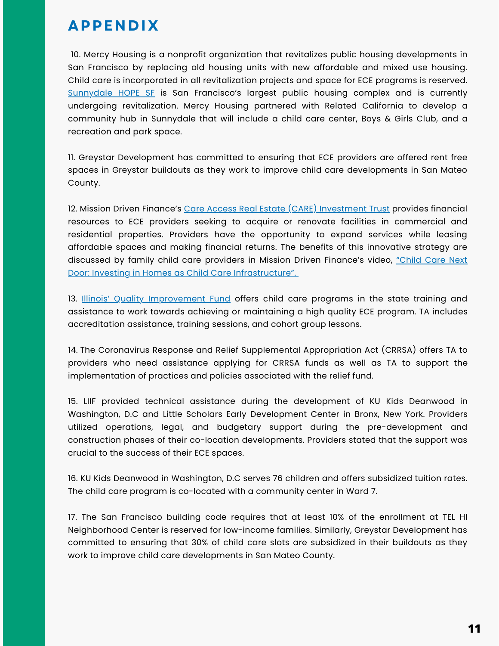### **APPENDIX**

10. Mercy Housing is a nonprofit organization that revitalizes public housing developments in San Francisco by replacing old housing units with new affordable and mixed use housing. Child care is incorporated in all revitalization projects and space for ECE programs is reserved. [Sunnydale](https://www.mercyhousing.org/2022/02/sunnydale-hope-sf-update/) HOPE SF is San Francisco's largest public housing complex and is currently undergoing revitalization. Mercy Housing partnered with Related California to develop a community hub in Sunnydale that will include a child care center, Boys & Girls Club, and a recreation and park space.

11. Greystar Development has committed to ensuring that ECE providers are offered rent free spaces in Greystar buildouts as they work to improve child care developments in San Mateo County.

12. Mission Driven Finance's Care Access Real Estate (CARE) [Investment](https://www.missiondrivenfinance.com/invest/early-care-education/care-investment-trust/) Trust provides financial resources to ECE providers seeking to acquire or renovate facilities in commercial and residential properties. Providers have the opportunity to expand services while leasing affordable spaces and making financial returns. The benefits of this innovative strategy are discussed by family child care providers in Mission Driven Finance's video, "Child Care Next Door: Investing in Homes as Child Care [Infrastructure".](https://vimeo.com/671960991?embedded=true&source=vimeo_logo&owner=138035579)

13. Illinois' Quality [Improvement](https://www.childcareillinois.org/provider-services/quality-improvement-grant-opportunities) Fund offers child care programs in the state training and assistance to work towards achieving or maintaining a high quality ECE program. TA includes accreditation assistance, training sessions, and cohort group lessons.

14. The Coronavirus Response and Relief Supplemental Appropriation Act (CRRSA) offers TA to providers who need assistance applying for CRRSA funds as well as TA to support the implementation of practices and policies associated with the relief fund.

15. LIIF provided technical assistance during the development of KU Kids Deanwood in Washington, D.C and Little Scholars Early Development Center in Bronx, New York. Providers utilized operations, legal, and budgetary support during the pre-development and construction phases of their co-location developments. Providers stated that the support was crucial to the success of their ECE spaces.

16. KU Kids Deanwood in Washington, D.C serves 76 children and offers subsidized tuition rates. The child care program is co-located with a community center in Ward 7.

17. The San Francisco building code requires that at least 10% of the enrollment at TEL HI Neighborhood Center is reserved for low-income families. Similarly, Greystar Development has committed to ensuring that 30% of child care slots are subsidized in their buildouts as they work to improve child care developments in San Mateo County.